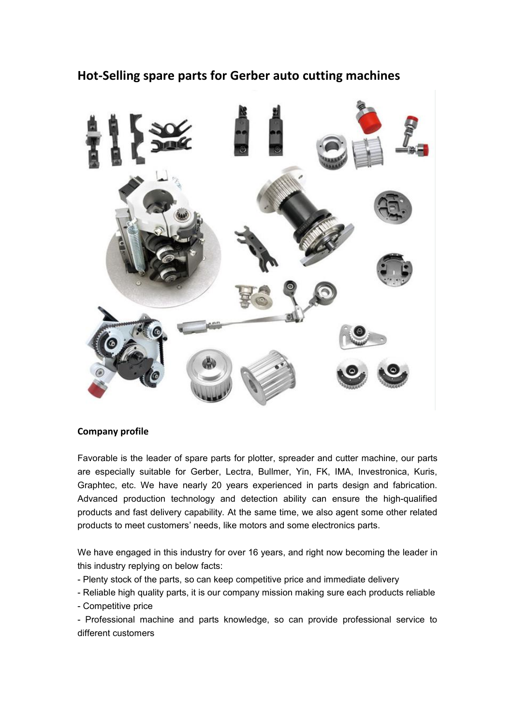# **Hot-Selling spare parts for Gerber auto cutting machines**



#### **Company profile**

Favorable is the leader of spare parts for plotter, spreader and cutter machine, our parts are especially suitable for Gerber, Lectra, Bullmer, Yin, FK, IMA, Investronica, Kuris, Graphtec, etc. We have nearly 20 years experienced in parts design and fabrication. Advanced production technology and detection ability can ensure the high-qualified products and fast delivery capability. At the same time, we also agent some other related products to meet customers' needs, like motors and some electronics parts.

We have engaged in this industry for over 16 years, and right now becoming the leader in this industry replying on below facts:

- Plenty stock of the parts, so can keep competitive price and immediate delivery
- Reliable high quality parts, it is our company mission making sure each products reliable
- Competitive price

- Professional machine and parts knowledge, so can provide professional service to different customers